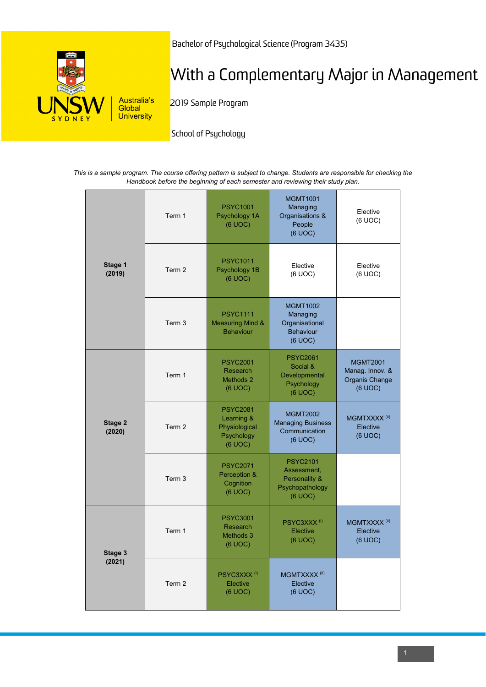

Bachelor of Psychological Science (Program 3435)

## With a Complementary Major in Management

2019 Sample Program

School of Psychology

*This is a sample program. The course offering pattern is subject to change. Students are responsible for checking the Handbook before the beginning of each semester and reviewing their study plan.*

| Stage 1<br>(2019) | Term 1 | <b>PSYC1001</b><br>Psychology 1A<br>(6 UOC)                             | <b>MGMT1001</b><br>Managing<br>Organisations &<br>People<br>(6 UOC)           | Elective<br>(6 UOC)                                             |
|-------------------|--------|-------------------------------------------------------------------------|-------------------------------------------------------------------------------|-----------------------------------------------------------------|
|                   | Term 2 | <b>PSYC1011</b><br>Psychology 1B<br>(6 UOC)                             | Elective<br>(6 UOC)                                                           | Elective<br>(6 UOC)                                             |
|                   | Term 3 | <b>PSYC1111</b><br><b>Measuring Mind &amp;</b><br><b>Behaviour</b>      | <b>MGMT1002</b><br>Managing<br>Organisational<br><b>Behaviour</b><br>(6 UOC)  |                                                                 |
| Stage 2<br>(2020) | Term 1 | <b>PSYC2001</b><br>Research<br>Methods <sub>2</sub><br>(6 UOC)          | <b>PSYC2061</b><br>Social &<br>Developmental<br>Psychology<br>(6 UOC)         | <b>MGMT2001</b><br>Manag. Innov. &<br>Organis Change<br>(6 UOC) |
|                   | Term 2 | <b>PSYC2081</b><br>Learning &<br>Physiological<br>Psychology<br>(6 UOC) | <b>MGMT2002</b><br><b>Managing Business</b><br>Communication<br>(6 UOC)       | MGMTXXXX <sup>(ii)</sup><br>Elective<br>(6 UOC)                 |
|                   | Term 3 | <b>PSYC2071</b><br>Perception &<br>Cognition<br>(6 UOC)                 | <b>PSYC2101</b><br>Assessment,<br>Personality &<br>Psychopathology<br>(6 UOC) |                                                                 |
| Stage 3<br>(2021) | Term 1 | <b>PSYC3001</b><br><b>Research</b><br>Methods 3<br>(6 UOC)              | PSYC3XXX <sup>(i)</sup><br>Elective<br>(6 UOC)                                | MGMTXXXX <sup>(ii)</sup><br>Elective<br>(6 UOC)                 |
|                   | Term 2 | PSYC3XXX <sup>(i)</sup><br>Elective<br>(6 UOC)                          | MGMTXXXX <sup>(ii)</sup><br>Elective<br>(6 UOC)                               |                                                                 |